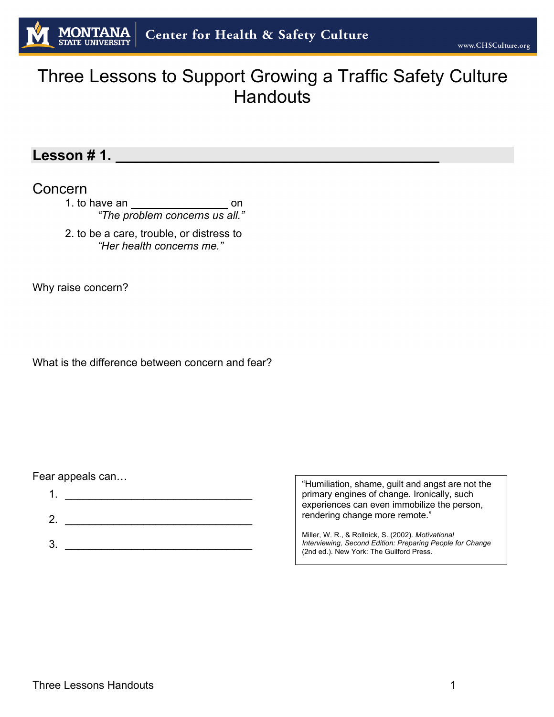# Three Lessons to Support Growing a Traffic Safety Culture **Handouts**

#### **Lesson # 1. \_\_**

#### Concern

1. to have an  $\frac{1}{\sqrt{1-\frac{1}{2}}}\$  on *"The problem concerns us all."*

2. to be a care, trouble, or distress to *"Her health concerns me."*

Why raise concern?

What is the difference between concern and fear?

#### Fear appeals can…

| 2. |  |
|----|--|
|    |  |
| 3. |  |

"Humiliation, shame, guilt and angst are not the primary engines of change. Ironically, such experiences can even immobilize the person, rendering change more remote."

Miller, W. R., & Rollnick, S. (2002). *Motivational Interviewing, Second Edition: Preparing People for Change* (2nd ed.). New York: The Guilford Press.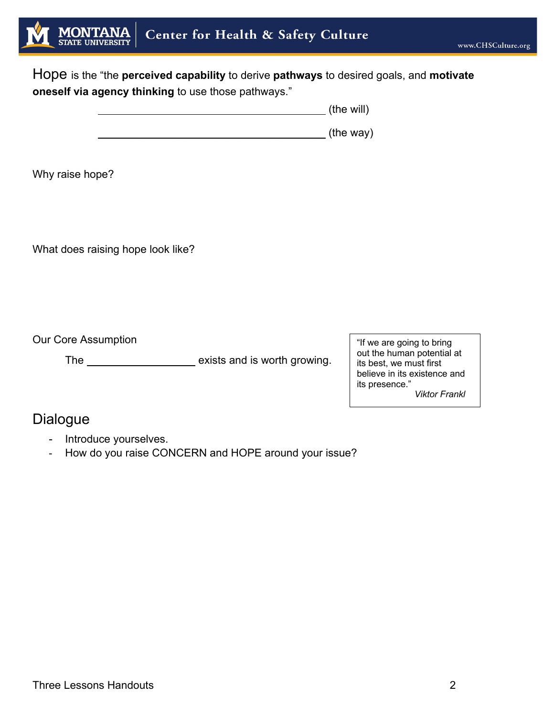

Hope is the "the **perceived capability** to derive **pathways** to desired goals, and **motivate oneself via agency thinking** to use those pathways."

**The will** (the will)

(the way)

Why raise hope?

What does raising hope look like?

Our Core Assumption

The <u>exists</u> and is worth growing.

"If we are going to bring out the human potential at its best, we must first believe in its existence and its presence." *Viktor Frankl*

Dialogue

- Introduce yourselves.
- How do you raise CONCERN and HOPE around your issue?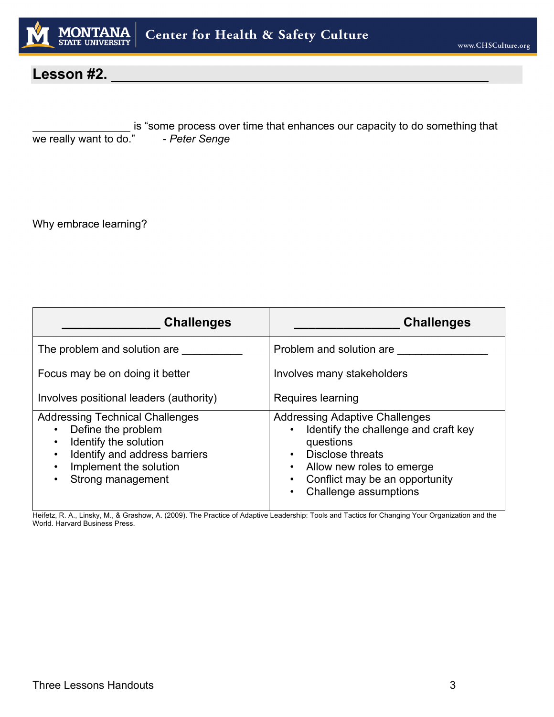

# **Lesson #2.**

is "some process over time that enhances our capacity to do something that we really want to do." - *Peter Senge* 

Why embrace learning?

| <b>Challenges</b>                                                                                                                                                     | <b>Challenges</b>                                                                                                                                                                                      |
|-----------------------------------------------------------------------------------------------------------------------------------------------------------------------|--------------------------------------------------------------------------------------------------------------------------------------------------------------------------------------------------------|
| The problem and solution are                                                                                                                                          | Problem and solution are                                                                                                                                                                               |
| Focus may be on doing it better                                                                                                                                       | Involves many stakeholders                                                                                                                                                                             |
| Involves positional leaders (authority)                                                                                                                               | Requires learning                                                                                                                                                                                      |
| <b>Addressing Technical Challenges</b><br>Define the problem<br>Identify the solution<br>Identify and address barriers<br>Implement the solution<br>Strong management | <b>Addressing Adaptive Challenges</b><br>Identify the challenge and craft key<br>questions<br>Disclose threats<br>Allow new roles to emerge<br>Conflict may be an opportunity<br>Challenge assumptions |

Heifetz, R. A., Linsky, M., & Grashow, A. (2009). The Practice of Adaptive Leadership: Tools and Tactics for Changing Your Organization and the World. Harvard Business Press.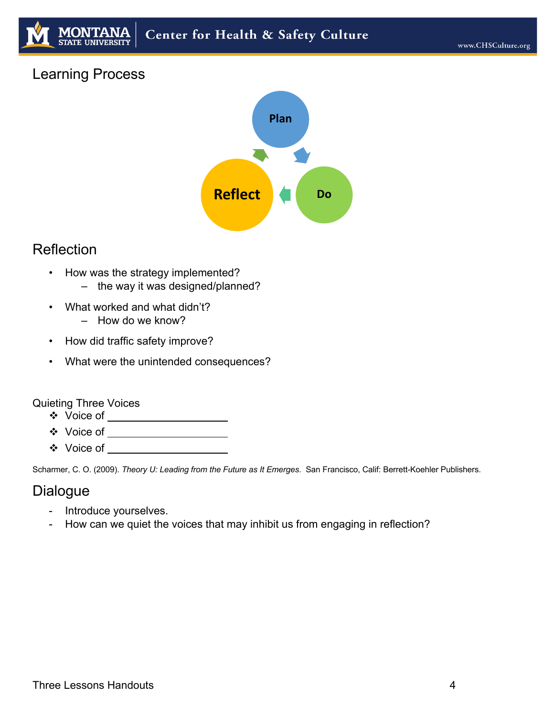# Center for Health & Safety Culture

## Learning Process



### Reflection

- How was the strategy implemented?
	- the way it was designed/planned?
- What worked and what didn't? – How do we know?
- How did traffic safety improve?
- What were the unintended consequences?

#### Quieting Three Voices

- v Voice of
- v Voice of
- ◆ Voice of

Scharmer, C. O. (2009). *Theory U: Leading from the Future as It Emerges*. San Francisco, Calif: Berrett-Koehler Publishers.

#### **Dialogue**

- Introduce yourselves.
- How can we quiet the voices that may inhibit us from engaging in reflection?